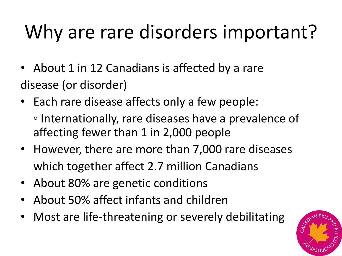## Why are rare disorders important?

- About 1 in 12 Canadians is affected by a rare disease (or disorder)
- Each rare disease affects only a few people:
	- Internationally, rare diseases have a prevalence of affecting fewer than 1 in 2,000 people
- However, there are more than 7,000 rare diseases which together affect 2.7 million Canadians
- About 80% are genetic conditions
- About 50% affect infants and children
- Most are life-threatening or severely debilitating

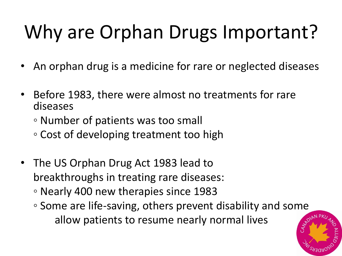## Why are Orphan Drugs Important?

- An orphan drug is a medicine for rare or neglected diseases
- Before 1983, there were almost no treatments for rare diseases
	- Number of patients was too small
	- Cost of developing treatment too high
- The US Orphan Drug Act 1983 lead to breakthroughs in treating rare diseases:
	- Nearly 400 new therapies since 1983
	- Some are life-saving, others prevent disability and some allow patients to resume nearly normal lives

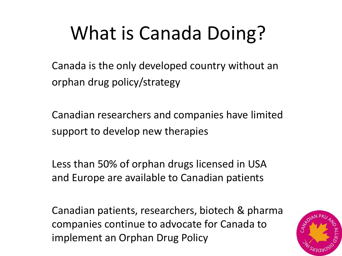## What is Canada Doing?

Canada is the only developed country without an orphan drug policy/strategy

Canadian researchers and companies have limited support to develop new therapies

Less than 50% of orphan drugs licensed in USA and Europe are available to Canadian patients

Canadian patients, researchers, biotech & pharma companies continue to advocate for Canada to implement an Orphan Drug Policy

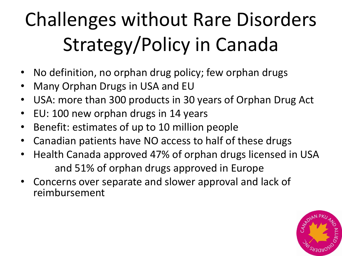# Challenges without Rare Disorders Strategy/Policy in Canada

- No definition, no orphan drug policy; few orphan drugs
- Many Orphan Drugs in USA and EU
- USA: more than 300 products in 30 years of Orphan Drug Act
- EU: 100 new orphan drugs in 14 years
- Benefit: estimates of up to 10 million people
- Canadian patients have NO access to half of these drugs
- Health Canada approved 47% of orphan drugs licensed in USA and 51% of orphan drugs approved in Europe
- Concerns over separate and slower approval and lack of reimbursement

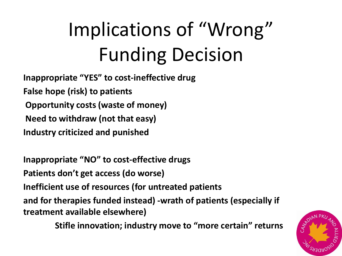# Implications of "Wrong" Funding Decision

**Inappropriate "YES" to cost-ineffective drug False hope (risk) to patients Opportunity costs (waste of money) Need to withdraw (not that easy) Industry criticized and punished** 

**Inappropriate "NO" to cost-effective drugs Patients don't get access (do worse) Inefficient use of resources (for untreated patients and for therapies funded instead) -wrath of patients (especially if treatment available elsewhere)** 

**Stifle innovation; industry move to "more certain" returns**

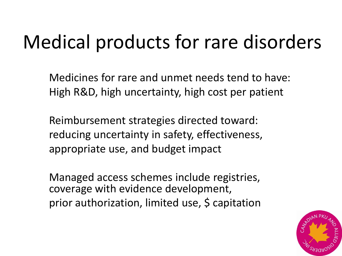#### Medical products for rare disorders

Medicines for rare and unmet needs tend to have: High R&D, high uncertainty, high cost per patient

Reimbursement strategies directed toward: reducing uncertainty in safety, effectiveness, appropriate use, and budget impact

Managed access schemes include registries, coverage with evidence development, prior authorization, limited use, \$ capitation

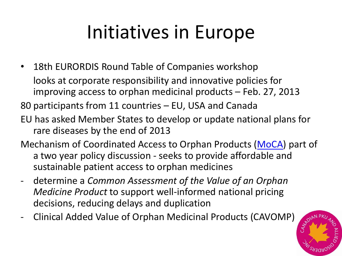## Initiatives in Europe

• 18th EURORDIS Round Table of Companies workshop looks at corporate responsibility and innovative policies for improving access to orphan medicinal products – Feb. 27, 2013

80 participants from 11 countries – EU, USA and Canada

- EU has asked Member States to develop or update national plans for rare diseases by the end of 2013
- Mechanism of Coordinated Access to Orphan Products [\(MoCA](http://ec.europa.eu/enterprise/sectors/healthcare/competitiveness/process_on_corporate_responsibility/platform_access/index_en.htm)) part of a two year policy discussion - seeks to provide affordable and sustainable patient access to orphan medicines
- determine a *Common Assessment of the Value of an Orphan Medicine Product* to support well-informed national pricing decisions, reducing delays and duplication
- Clinical Added Value of Orphan Medicinal Products (CAVOMP)

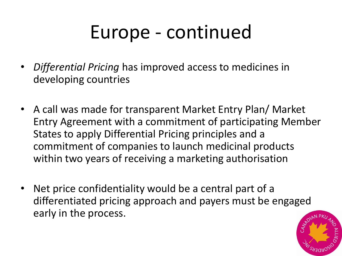#### Europe - continued

- *Differential Pricing* has improved access to medicines in developing countries
- A call was made for transparent Market Entry Plan/ Market Entry Agreement with a commitment of participating Member States to apply Differential Pricing principles and a commitment of companies to launch medicinal products within two years of receiving a marketing authorisation
- Net price confidentiality would be a central part of a differentiated pricing approach and payers must be engaged early in the process.

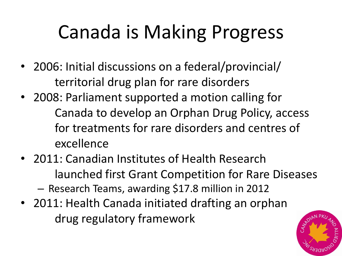### Canada is Making Progress

- 2006: Initial discussions on a federal/provincial/ territorial drug plan for rare disorders
- 2008: Parliament supported a motion calling for Canada to develop an Orphan Drug Policy, access for treatments for rare disorders and centres of excellence
- 2011: Canadian Institutes of Health Research launched first Grant Competition for Rare Diseases

– Research Teams, awarding \$17.8 million in 2012

• 2011: Health Canada initiated drafting an orphan drug regulatory framework